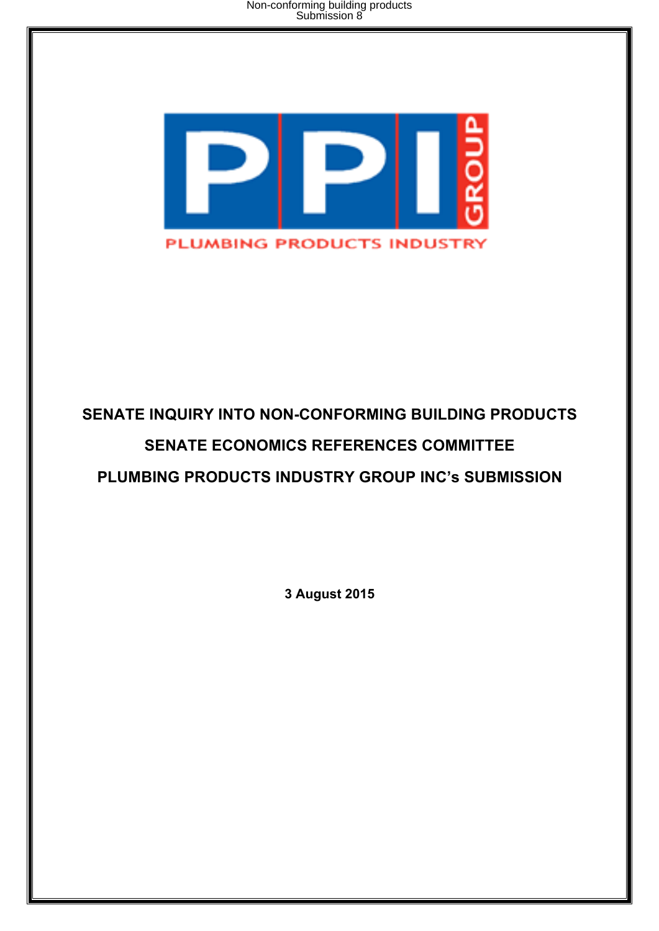Non-conforming building products Submission 8



# **SENATE INQUIRY INTO NON-CONFORMING BUILDING PRODUCTS SENATE ECONOMICS REFERENCES COMMITTEE PLUMBING PRODUCTS INDUSTRY GROUP INC's SUBMISSION**

**3 August 2015**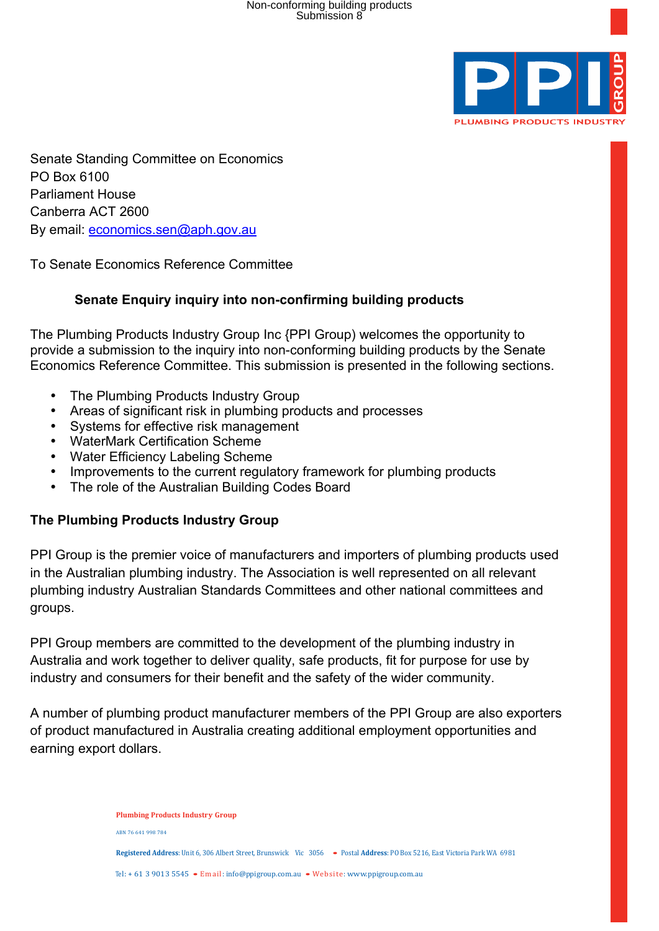

Senate Standing Committee on Economics PO Box 6100 Parliament House Canberra ACT 2600 By email: economics.sen@aph.gov.au

To Senate Economics Reference Committee

## **Senate Enquiry inquiry into non-confirming building products**

The Plumbing Products Industry Group Inc {PPI Group) welcomes the opportunity to provide a submission to the inquiry into non-conforming building products by the Senate Economics Reference Committee. This submission is presented in the following sections.

- The Plumbing Products Industry Group
- Areas of significant risk in plumbing products and processes
- Systems for effective risk management
- WaterMark Certification Scheme
- Water Efficiency Labeling Scheme
- Improvements to the current regulatory framework for plumbing products
- The role of the Australian Building Codes Board

#### **The Plumbing Products Industry Group**

PPI Group is the premier voice of manufacturers and importers of plumbing products used in the Australian plumbing industry. The Association is well represented on all relevant plumbing industry Australian Standards Committees and other national committees and groups.

PPI Group members are committed to the development of the plumbing industry in Australia and work together to deliver quality, safe products, fit for purpose for use by industry and consumers for their benefit and the safety of the wider community.

A number of plumbing product manufacturer members of the PPI Group are also exporters of product manufactured in Australia creating additional employment opportunities and earning export dollars.

> **Plumbing Products Industry Group** ABN 76 641 998 784 **Registered Address**: Unit 6, 306 Albert Street, Brunswick Vic 3056 • Postal Address: PO Box 5216, East Victoria Park WA 6981 Tel: + 61 3 9013 5545 • Email: info@ppigroup.com.au • Website: www.ppigroup.com.au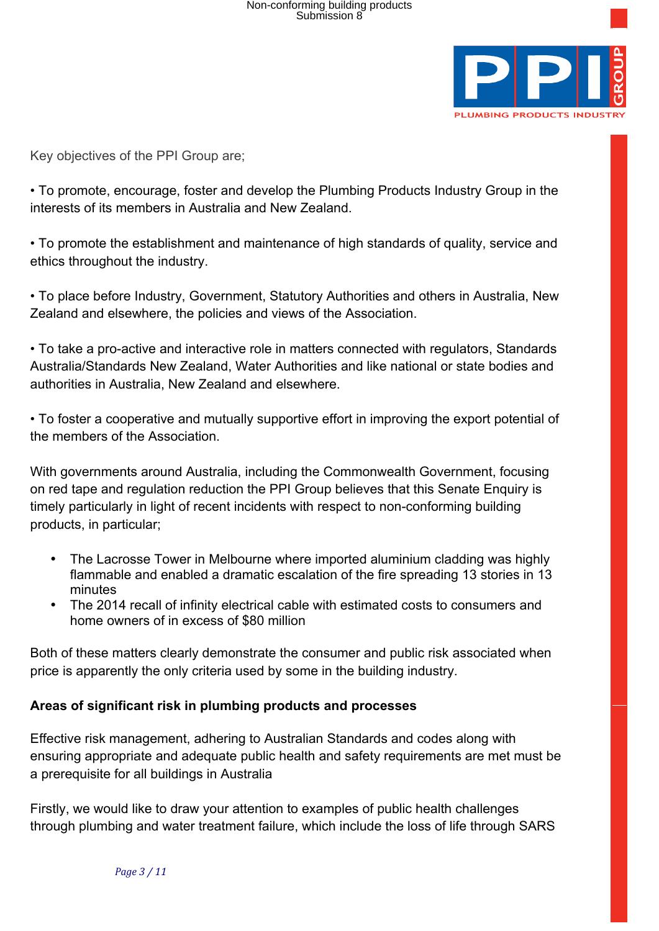

Key objectives of the PPI Group are;

• To promote, encourage, foster and develop the Plumbing Products Industry Group in the interests of its members in Australia and New Zealand.

• To promote the establishment and maintenance of high standards of quality, service and ethics throughout the industry.

• To place before Industry, Government, Statutory Authorities and others in Australia, New Zealand and elsewhere, the policies and views of the Association.

• To take a pro-active and interactive role in matters connected with regulators, Standards Australia/Standards New Zealand, Water Authorities and like national or state bodies and authorities in Australia, New Zealand and elsewhere.

• To foster a cooperative and mutually supportive effort in improving the export potential of the members of the Association.

With governments around Australia, including the Commonwealth Government, focusing on red tape and regulation reduction the PPI Group believes that this Senate Enquiry is timely particularly in light of recent incidents with respect to non-conforming building products, in particular;

- The Lacrosse Tower in Melbourne where imported aluminium cladding was highly flammable and enabled a dramatic escalation of the fire spreading 13 stories in 13 minutes
- The 2014 recall of infinity electrical cable with estimated costs to consumers and home owners of in excess of \$80 million

Both of these matters clearly demonstrate the consumer and public risk associated when price is apparently the only criteria used by some in the building industry.

#### **Areas of significant risk in plumbing products and processes**

Effective risk management, adhering to Australian Standards and codes along with ensuring appropriate and adequate public health and safety requirements are met must be a prerequisite for all buildings in Australia

Firstly, we would like to draw your attention to examples of public health challenges through plumbing and water treatment failure, which include the loss of life through SARS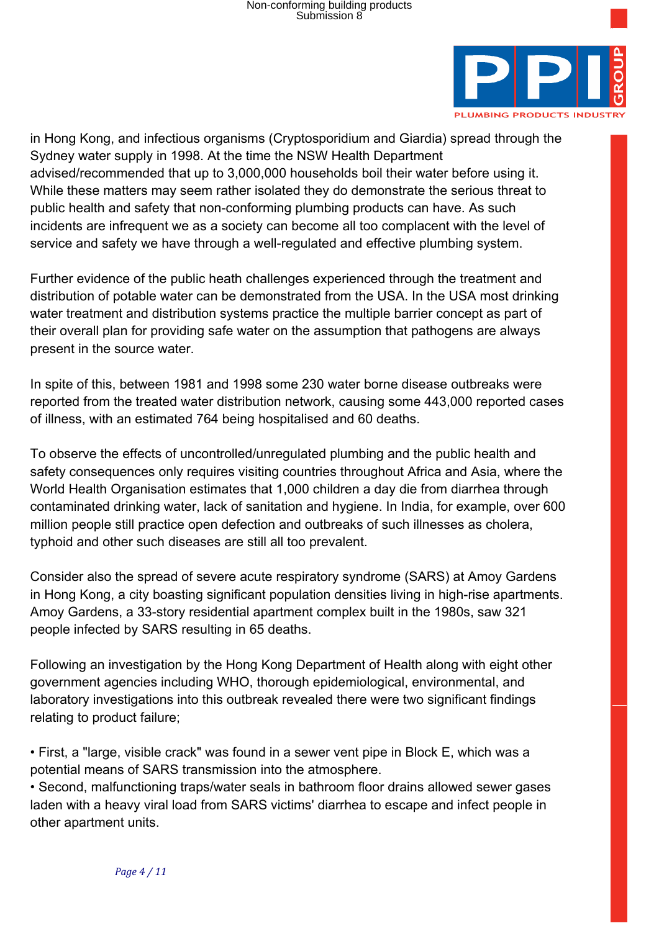

in Hong Kong, and infectious organisms (Cryptosporidium and Giardia) spread through the Sydney water supply in 1998. At the time the NSW Health Department advised/recommended that up to 3,000,000 households boil their water before using it. While these matters may seem rather isolated they do demonstrate the serious threat to public health and safety that non-conforming plumbing products can have. As such incidents are infrequent we as a society can become all too complacent with the level of service and safety we have through a well-regulated and effective plumbing system.

Further evidence of the public heath challenges experienced through the treatment and distribution of potable water can be demonstrated from the USA. In the USA most drinking water treatment and distribution systems practice the multiple barrier concept as part of their overall plan for providing safe water on the assumption that pathogens are always present in the source water.

In spite of this, between 1981 and 1998 some 230 water borne disease outbreaks were reported from the treated water distribution network, causing some 443,000 reported cases of illness, with an estimated 764 being hospitalised and 60 deaths.

To observe the effects of uncontrolled/unregulated plumbing and the public health and safety consequences only requires visiting countries throughout Africa and Asia, where the World Health Organisation estimates that 1,000 children a day die from diarrhea through contaminated drinking water, lack of sanitation and hygiene. In India, for example, over 600 million people still practice open defection and outbreaks of such illnesses as cholera, typhoid and other such diseases are still all too prevalent.

Consider also the spread of severe acute respiratory syndrome (SARS) at Amoy Gardens in Hong Kong, a city boasting significant population densities living in high-rise apartments. Amoy Gardens, a 33-story residential apartment complex built in the 1980s, saw 321 people infected by SARS resulting in 65 deaths.

Following an investigation by the Hong Kong Department of Health along with eight other government agencies including WHO, thorough epidemiological, environmental, and laboratory investigations into this outbreak revealed there were two significant findings relating to product failure;

• First, a "large, visible crack" was found in a sewer vent pipe in Block E, which was a potential means of SARS transmission into the atmosphere.

• Second, malfunctioning traps/water seals in bathroom floor drains allowed sewer gases laden with a heavy viral load from SARS victims' diarrhea to escape and infect people in other apartment units.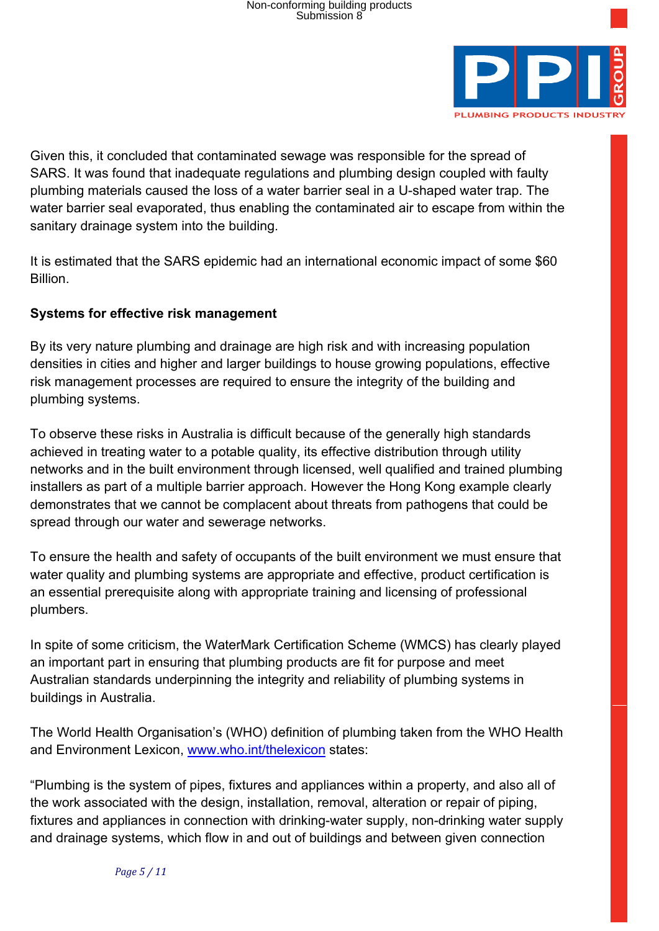

Given this, it concluded that contaminated sewage was responsible for the spread of SARS. It was found that inadequate regulations and plumbing design coupled with faulty plumbing materials caused the loss of a water barrier seal in a U-shaped water trap. The water barrier seal evaporated, thus enabling the contaminated air to escape from within the sanitary drainage system into the building.

It is estimated that the SARS epidemic had an international economic impact of some \$60 Billion.

## **Systems for effective risk management**

By its very nature plumbing and drainage are high risk and with increasing population densities in cities and higher and larger buildings to house growing populations, effective risk management processes are required to ensure the integrity of the building and plumbing systems.

To observe these risks in Australia is difficult because of the generally high standards achieved in treating water to a potable quality, its effective distribution through utility networks and in the built environment through licensed, well qualified and trained plumbing installers as part of a multiple barrier approach. However the Hong Kong example clearly demonstrates that we cannot be complacent about threats from pathogens that could be spread through our water and sewerage networks.

To ensure the health and safety of occupants of the built environment we must ensure that water quality and plumbing systems are appropriate and effective, product certification is an essential prerequisite along with appropriate training and licensing of professional plumbers.

In spite of some criticism, the WaterMark Certification Scheme (WMCS) has clearly played an important part in ensuring that plumbing products are fit for purpose and meet Australian standards underpinning the integrity and reliability of plumbing systems in buildings in Australia.

The World Health Organisation's (WHO) definition of plumbing taken from the WHO Health and Environment Lexicon, www.who.int/thelexicon states:

"Plumbing is the system of pipes, fixtures and appliances within a property, and also all of the work associated with the design, installation, removal, alteration or repair of piping, fixtures and appliances in connection with drinking-water supply, non-drinking water supply and drainage systems, which flow in and out of buildings and between given connection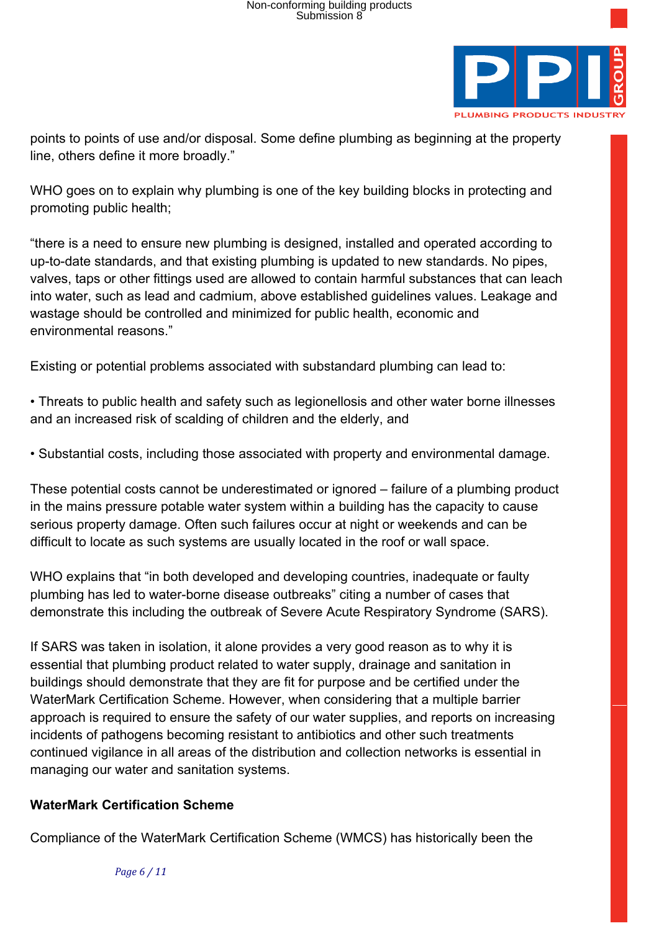

points to points of use and/or disposal. Some define plumbing as beginning at the property line, others define it more broadly."

WHO goes on to explain why plumbing is one of the key building blocks in protecting and promoting public health;

"there is a need to ensure new plumbing is designed, installed and operated according to up-to-date standards, and that existing plumbing is updated to new standards. No pipes, valves, taps or other fittings used are allowed to contain harmful substances that can leach into water, such as lead and cadmium, above established guidelines values. Leakage and wastage should be controlled and minimized for public health, economic and environmental reasons."

Existing or potential problems associated with substandard plumbing can lead to:

• Threats to public health and safety such as legionellosis and other water borne illnesses and an increased risk of scalding of children and the elderly, and

• Substantial costs, including those associated with property and environmental damage.

These potential costs cannot be underestimated or ignored – failure of a plumbing product in the mains pressure potable water system within a building has the capacity to cause serious property damage. Often such failures occur at night or weekends and can be difficult to locate as such systems are usually located in the roof or wall space.

WHO explains that "in both developed and developing countries, inadequate or faulty plumbing has led to water-borne disease outbreaks" citing a number of cases that demonstrate this including the outbreak of Severe Acute Respiratory Syndrome (SARS).

If SARS was taken in isolation, it alone provides a very good reason as to why it is essential that plumbing product related to water supply, drainage and sanitation in buildings should demonstrate that they are fit for purpose and be certified under the WaterMark Certification Scheme. However, when considering that a multiple barrier approach is required to ensure the safety of our water supplies, and reports on increasing incidents of pathogens becoming resistant to antibiotics and other such treatments continued vigilance in all areas of the distribution and collection networks is essential in managing our water and sanitation systems.

## **WaterMark Certification Scheme**

Compliance of the WaterMark Certification Scheme (WMCS) has historically been the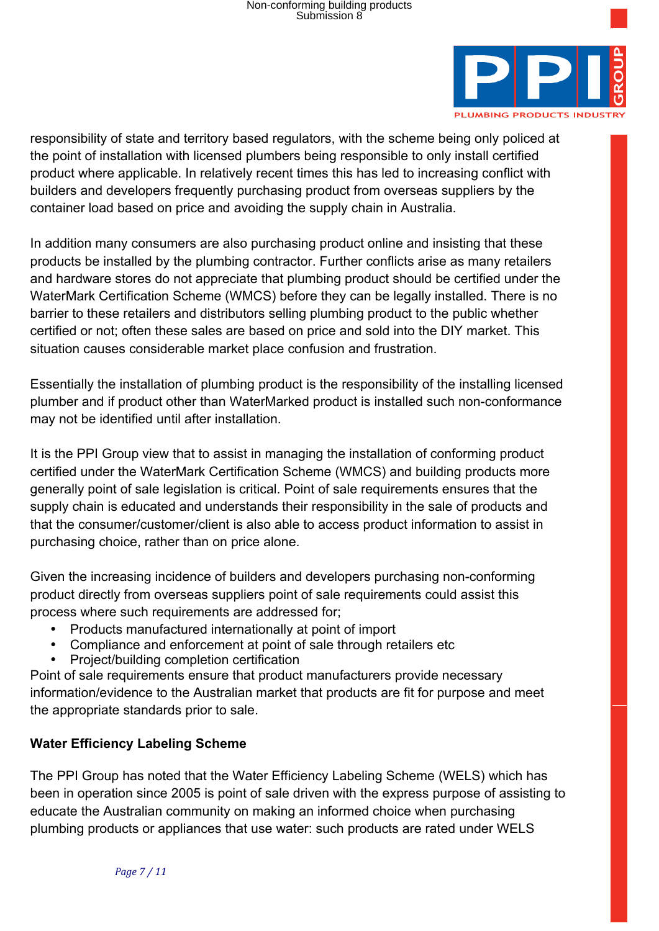

responsibility of state and territory based regulators, with the scheme being only policed at the point of installation with licensed plumbers being responsible to only install certified product where applicable. In relatively recent times this has led to increasing conflict with builders and developers frequently purchasing product from overseas suppliers by the container load based on price and avoiding the supply chain in Australia.

In addition many consumers are also purchasing product online and insisting that these products be installed by the plumbing contractor. Further conflicts arise as many retailers and hardware stores do not appreciate that plumbing product should be certified under the WaterMark Certification Scheme (WMCS) before they can be legally installed. There is no barrier to these retailers and distributors selling plumbing product to the public whether certified or not; often these sales are based on price and sold into the DIY market. This situation causes considerable market place confusion and frustration.

Essentially the installation of plumbing product is the responsibility of the installing licensed plumber and if product other than WaterMarked product is installed such non-conformance may not be identified until after installation.

It is the PPI Group view that to assist in managing the installation of conforming product certified under the WaterMark Certification Scheme (WMCS) and building products more generally point of sale legislation is critical. Point of sale requirements ensures that the supply chain is educated and understands their responsibility in the sale of products and that the consumer/customer/client is also able to access product information to assist in purchasing choice, rather than on price alone.

Given the increasing incidence of builders and developers purchasing non-conforming product directly from overseas suppliers point of sale requirements could assist this process where such requirements are addressed for;

- Products manufactured internationally at point of import
- Compliance and enforcement at point of sale through retailers etc
- Project/building completion certification

Point of sale requirements ensure that product manufacturers provide necessary information/evidence to the Australian market that products are fit for purpose and meet the appropriate standards prior to sale.

# **Water Efficiency Labeling Scheme**

The PPI Group has noted that the Water Efficiency Labeling Scheme (WELS) which has been in operation since 2005 is point of sale driven with the express purpose of assisting to educate the Australian community on making an informed choice when purchasing plumbing products or appliances that use water: such products are rated under WELS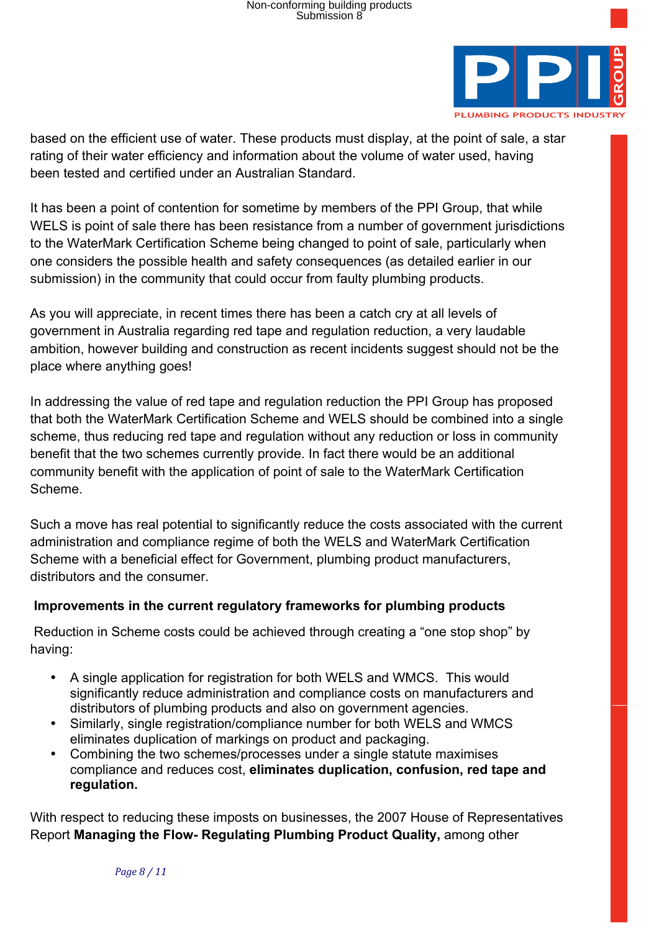

based on the efficient use of water. These products must display, at the point of sale, a star rating of their water efficiency and information about the volume of water used, having been tested and certified under an Australian Standard.

It has been a point of contention for sometime by members of the PPI Group, that while WELS is point of sale there has been resistance from a number of government jurisdictions to the WaterMark Certification Scheme being changed to point of sale, particularly when one considers the possible health and safety consequences (as detailed earlier in our submission) in the community that could occur from faulty plumbing products.

As you will appreciate, in recent times there has been a catch cry at all levels of government in Australia regarding red tape and regulation reduction, a very laudable ambition, however building and construction as recent incidents suggest should not be the place where anything goes!

In addressing the value of red tape and regulation reduction the PPI Group has proposed that both the WaterMark Certification Scheme and WELS should be combined into a single scheme, thus reducing red tape and regulation without any reduction or loss in community benefit that the two schemes currently provide. In fact there would be an additional community benefit with the application of point of sale to the WaterMark Certification Scheme.

Such a move has real potential to significantly reduce the costs associated with the current administration and compliance regime of both the WELS and WaterMark Certification Scheme with a beneficial effect for Government, plumbing product manufacturers, distributors and the consumer.

## **Improvements in the current regulatory frameworks for plumbing products**

 Reduction in Scheme costs could be achieved through creating a "one stop shop" by having:

- A single application for registration for both WELS and WMCS. This would significantly reduce administration and compliance costs on manufacturers and distributors of plumbing products and also on government agencies.
- Similarly, single registration/compliance number for both WELS and WMCS eliminates duplication of markings on product and packaging.
- Combining the two schemes/processes under a single statute maximises compliance and reduces cost, **eliminates duplication, confusion, red tape and regulation.**

With respect to reducing these imposts on businesses, the 2007 House of Representatives Report **Managing the Flow- Regulating Plumbing Product Quality,** among other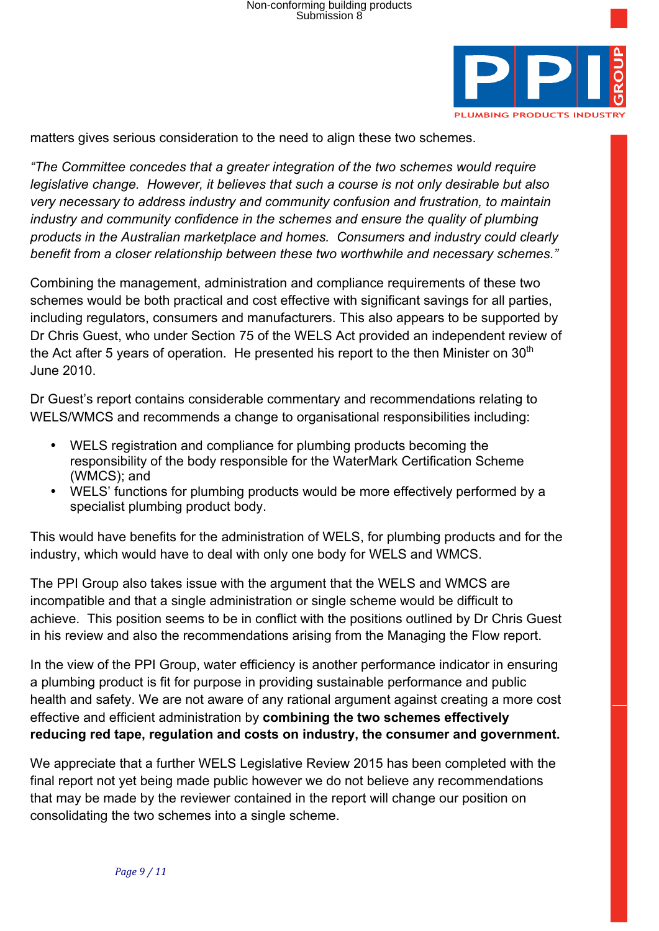

matters gives serious consideration to the need to align these two schemes.

*"The Committee concedes that a greater integration of the two schemes would require legislative change. However, it believes that such a course is not only desirable but also very necessary to address industry and community confusion and frustration, to maintain industry and community confidence in the schemes and ensure the quality of plumbing products in the Australian marketplace and homes. Consumers and industry could clearly benefit from a closer relationship between these two worthwhile and necessary schemes."*

Combining the management, administration and compliance requirements of these two schemes would be both practical and cost effective with significant savings for all parties, including regulators, consumers and manufacturers. This also appears to be supported by Dr Chris Guest, who under Section 75 of the WELS Act provided an independent review of the Act after 5 years of operation. He presented his report to the then Minister on  $30<sup>th</sup>$ June 2010.

Dr Guest's report contains considerable commentary and recommendations relating to WELS/WMCS and recommends a change to organisational responsibilities including:

- WELS registration and compliance for plumbing products becoming the responsibility of the body responsible for the WaterMark Certification Scheme (WMCS); and
- WELS' functions for plumbing products would be more effectively performed by a specialist plumbing product body.

This would have benefits for the administration of WELS, for plumbing products and for the industry, which would have to deal with only one body for WELS and WMCS.

The PPI Group also takes issue with the argument that the WELS and WMCS are incompatible and that a single administration or single scheme would be difficult to achieve. This position seems to be in conflict with the positions outlined by Dr Chris Guest in his review and also the recommendations arising from the Managing the Flow report.

In the view of the PPI Group, water efficiency is another performance indicator in ensuring a plumbing product is fit for purpose in providing sustainable performance and public health and safety. We are not aware of any rational argument against creating a more cost effective and efficient administration by **combining the two schemes effectively reducing red tape, regulation and costs on industry, the consumer and government.**

We appreciate that a further WELS Legislative Review 2015 has been completed with the final report not yet being made public however we do not believe any recommendations that may be made by the reviewer contained in the report will change our position on consolidating the two schemes into a single scheme.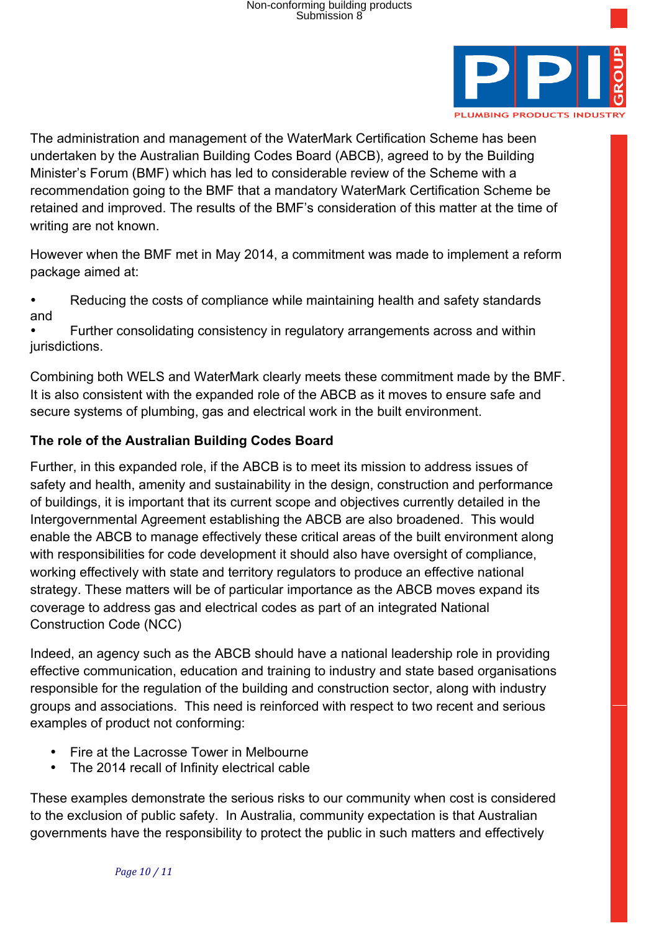

The administration and management of the WaterMark Certification Scheme has been undertaken by the Australian Building Codes Board (ABCB), agreed to by the Building Minister's Forum (BMF) which has led to considerable review of the Scheme with a recommendation going to the BMF that a mandatory WaterMark Certification Scheme be retained and improved. The results of the BMF's consideration of this matter at the time of writing are not known.

However when the BMF met in May 2014, a commitment was made to implement a reform package aimed at:

• Reducing the costs of compliance while maintaining health and safety standards and

• Further consolidating consistency in regulatory arrangements across and within jurisdictions.

Combining both WELS and WaterMark clearly meets these commitment made by the BMF. It is also consistent with the expanded role of the ABCB as it moves to ensure safe and secure systems of plumbing, gas and electrical work in the built environment.

## **The role of the Australian Building Codes Board**

Further, in this expanded role, if the ABCB is to meet its mission to address issues of safety and health, amenity and sustainability in the design, construction and performance of buildings, it is important that its current scope and objectives currently detailed in the Intergovernmental Agreement establishing the ABCB are also broadened. This would enable the ABCB to manage effectively these critical areas of the built environment along with responsibilities for code development it should also have oversight of compliance, working effectively with state and territory regulators to produce an effective national strategy. These matters will be of particular importance as the ABCB moves expand its coverage to address gas and electrical codes as part of an integrated National Construction Code (NCC)

Indeed, an agency such as the ABCB should have a national leadership role in providing effective communication, education and training to industry and state based organisations responsible for the regulation of the building and construction sector, along with industry groups and associations. This need is reinforced with respect to two recent and serious examples of product not conforming:

- Fire at the Lacrosse Tower in Melbourne
- The 2014 recall of Infinity electrical cable

These examples demonstrate the serious risks to our community when cost is considered to the exclusion of public safety. In Australia, community expectation is that Australian governments have the responsibility to protect the public in such matters and effectively